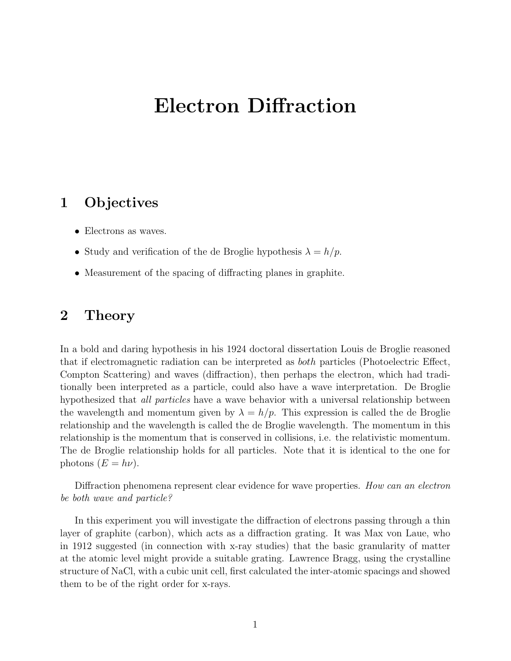# Electron Diffraction

# 1 Objectives

- Electrons as waves.
- Study and verification of the de Broglie hypothesis  $\lambda = h/p$ .
- Measurement of the spacing of diffracting planes in graphite.

# 2 Theory

In a bold and daring hypothesis in his 1924 doctoral dissertation Louis de Broglie reasoned that if electromagnetic radiation can be interpreted as both particles (Photoelectric Effect, Compton Scattering) and waves (diffraction), then perhaps the electron, which had traditionally been interpreted as a particle, could also have a wave interpretation. De Broglie hypothesized that all particles have a wave behavior with a universal relationship between the wavelength and momentum given by  $\lambda = h/p$ . This expression is called the de Broglie relationship and the wavelength is called the de Broglie wavelength. The momentum in this relationship is the momentum that is conserved in collisions, i.e. the relativistic momentum. The de Broglie relationship holds for all particles. Note that it is identical to the one for photons  $(E = h\nu)$ .

Diffraction phenomena represent clear evidence for wave properties. How can an electron be both wave and particle?

In this experiment you will investigate the diffraction of electrons passing through a thin layer of graphite (carbon), which acts as a diffraction grating. It was Max von Laue, who in 1912 suggested (in connection with x-ray studies) that the basic granularity of matter at the atomic level might provide a suitable grating. Lawrence Bragg, using the crystalline structure of NaCl, with a cubic unit cell, first calculated the inter-atomic spacings and showed them to be of the right order for x-rays.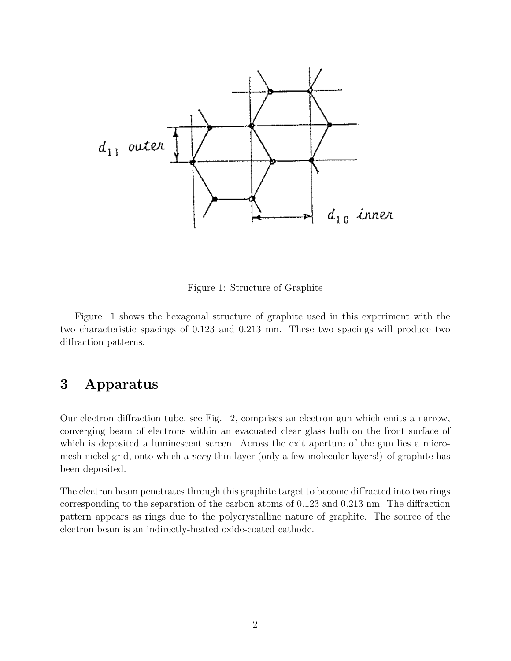

Figure 1: Structure of Graphite

Figure 1 shows the hexagonal structure of graphite used in this experiment with the two characteristic spacings of 0.123 and 0.213 nm. These two spacings will produce two diffraction patterns.

# 3 Apparatus

Our electron diffraction tube, see Fig. 2, comprises an electron gun which emits a narrow, converging beam of electrons within an evacuated clear glass bulb on the front surface of which is deposited a luminescent screen. Across the exit aperture of the gun lies a micromesh nickel grid, onto which a very thin layer (only a few molecular layers!) of graphite has been deposited.

The electron beam penetrates through this graphite target to become diffracted into two rings corresponding to the separation of the carbon atoms of 0.123 and 0.213 nm. The diffraction pattern appears as rings due to the polycrystalline nature of graphite. The source of the electron beam is an indirectly-heated oxide-coated cathode.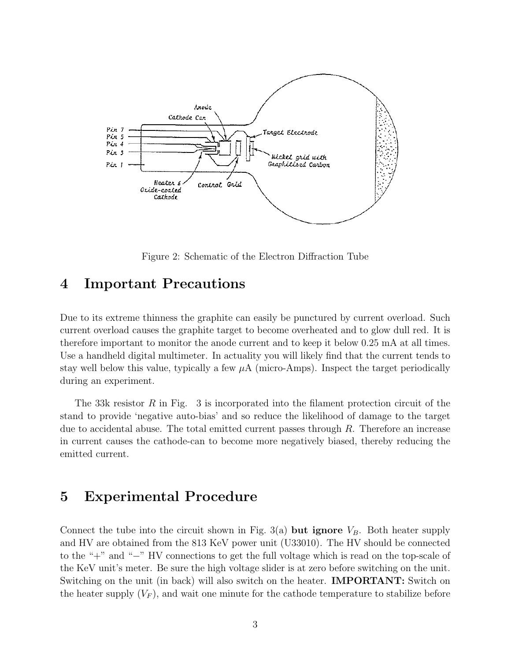

Figure 2: Schematic of the Electron Diffraction Tube

#### 4 Important Precautions

Due to its extreme thinness the graphite can easily be punctured by current overload. Such current overload causes the graphite target to become overheated and to glow dull red. It is therefore important to monitor the anode current and to keep it below 0.25 mA at all times. Use a handheld digital multimeter. In actuality you will likely find that the current tends to stay well below this value, typically a few  $\mu A$  (micro-Amps). Inspect the target periodically during an experiment.

The 33k resistor R in Fig. 3 is incorporated into the filament protection circuit of the stand to provide 'negative auto-bias' and so reduce the likelihood of damage to the target due to accidental abuse. The total emitted current passes through  $R$ . Therefore an increase in current causes the cathode-can to become more negatively biased, thereby reducing the emitted current.

### 5 Experimental Procedure

Connect the tube into the circuit shown in Fig. 3(a) but ignore  $V_B$ . Both heater supply and HV are obtained from the 813 KeV power unit (U33010). The HV should be connected to the "+" and "−" HV connections to get the full voltage which is read on the top-scale of the KeV unit's meter. Be sure the high voltage slider is at zero before switching on the unit. Switching on the unit (in back) will also switch on the heater. **IMPORTANT:** Switch on the heater supply  $(V_F)$ , and wait one minute for the cathode temperature to stabilize before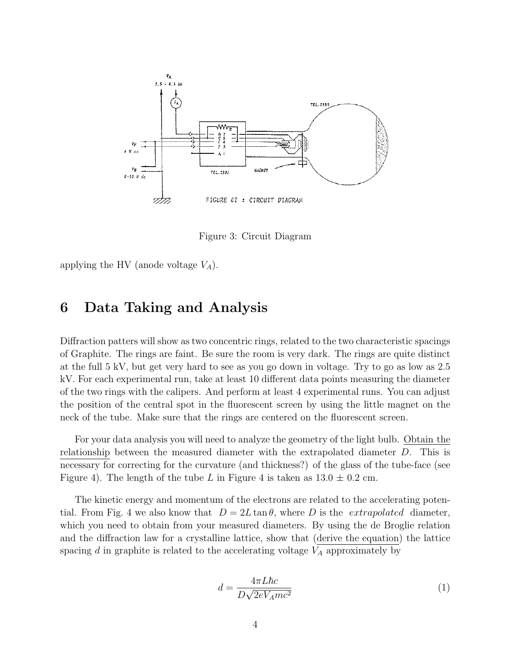

Figure 3: Circuit Diagram

applying the HV (anode voltage  $V_A$ ).

## 6 Data Taking and Analysis

Diffraction patters will show as two concentric rings, related to the two characteristic spacings of Graphite. The rings are faint. Be sure the room is very dark. The rings are quite distinct at the full 5 kV, but get very hard to see as you go down in voltage. Try to go as low as 2.5 kV. For each experimental run, take at least 10 different data points measuring the diameter of the two rings with the calipers. And perform at least 4 experimental runs. You can adjust the position of the central spot in the fluorescent screen by using the little magnet on the neck of the tube. Make sure that the rings are centered on the fluorescent screen.

For your data analysis you will need to analyze the geometry of the light bulb. Obtain the relationship between the measured diameter with the extrapolated diameter D. This is necessary for correcting for the curvature (and thickness?) of the glass of the tube-face (see Figure 4). The length of the tube L in Figure 4 is taken as  $13.0 \pm 0.2$  cm.

The kinetic energy and momentum of the electrons are related to the accelerating potential. From Fig. 4 we also know that  $D = 2L \tan \theta$ , where D is the *extrapolated* diameter, which you need to obtain from your measured diameters. By using the de Broglie relation and the diffraction law for a crystalline lattice, show that (derive the equation) the lattice spacing  $d$  in graphite is related to the accelerating voltage  $V_A$  approximately by

$$
d = \frac{4\pi L\hbar c}{D\sqrt{2eV_Amc^2}}\tag{1}
$$